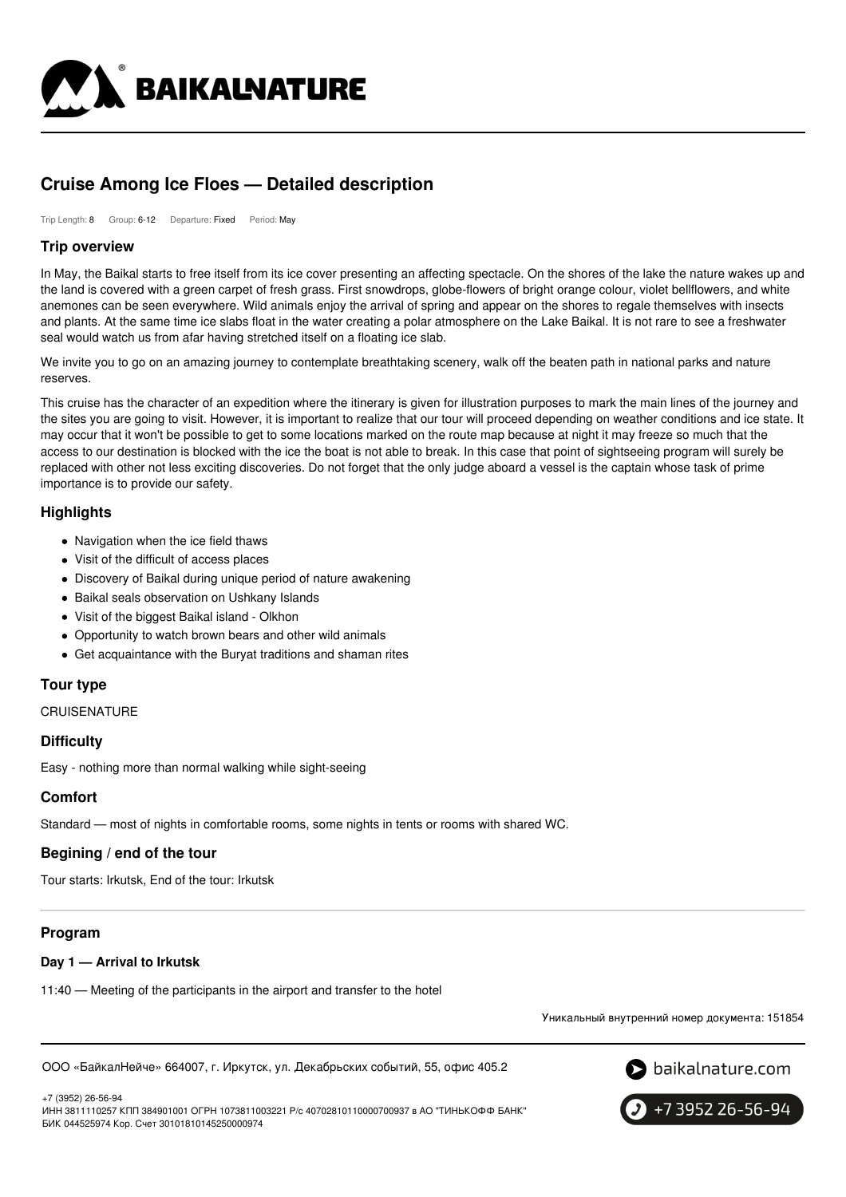

# **Cruise Among Ice Floes — Detailed description**

Trip Length: 8 Group: 6-12 Departure: Fixed Period: May

### **Trip overview**

In May, the Baikal starts to free itself from its ice cover presenting an affecting spectacle. On the shores of the lake the nature wakes up and the land is covered with a green carpet of fresh grass. First snowdrops, globe-flowers of bright orange colour, violet bellflowers, and white anemones can be seen everywhere. Wild animals enjoy the arrival of spring and appear on the shores to regale themselves with insects and plants. At the same time ice slabs float in the water creating a polar atmosphere on the Lake Baikal. It is not rare to see a freshwater seal would watch us from afar having stretched itself on a floating ice slab.

We invite you to go on an amazing journey to contemplate breathtaking scenery, walk off the beaten path in national parks and nature reserves.

This cruise has the character of an expedition where the itinerary is given for illustration purposes to mark the main lines of the journey and the sites you are going to visit. However, it is important to realize that our tour will proceed depending on weather conditions and ice state. It may occur that it won't be possible to get to some locations marked on the route map because at night it may freeze so much that the access to our destination is blocked with the ice the boat is not able to break. In this case that point of sightseeing program will surely be replaced with other not less exciting discoveries. Do not forget that the only judge aboard a vessel is the captain whose task of prime importance is to provide our safety.

# **Highlights**

- Navigation when the ice field thaws
- Visit of the difficult of access places
- Discovery of Baikal during unique period of nature awakening
- Baikal seals observation on Ushkany Islands
- Visit of the biggest Baikal island Olkhon
- Opportunity to watch brown bears and other wild animals
- Get acquaintance with the Buryat traditions and shaman rites

# **Tour type**

**CRUISENATURE** 

### **Difficulty**

Easy - nothing more than normal walking while sight-seeing

### **Comfort**

Standard — most of nights in comfortable rooms, some nights in tents or rooms with shared WC.

### **Begining / end of the tour**

Tour starts: Irkutsk, End of the tour: Irkutsk

# **Program**

#### **Day 1 — Arrival to Irkutsk**

11:40 — Meeting of the participants in the airport and transfer to the hotel

Уникальный внутренний номер документа: 151854

ООО «БайкалНейче» 664007, г. Иркутск, ул. Декабрьских событий, 55, офис 405.2

+7 (3952) 26-56-94

ИНН 3811110257 КПП 384901001 ОГРН 1073811003221 Р/с 40702810110000700937 в АО "ТИНЬКОФФ БАНК" БИК 044525974 Кор. Счет 30101810145250000974



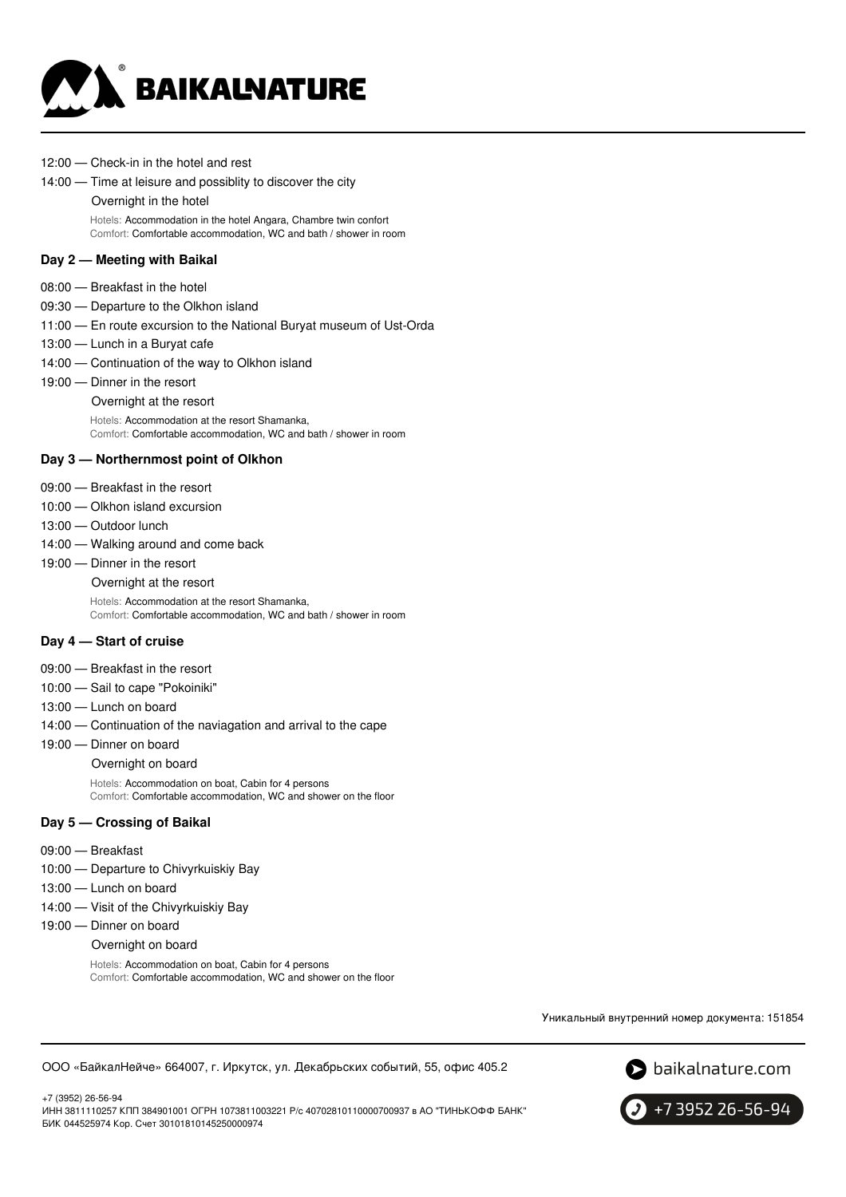

12:00 — Check-in in the hotel and rest

#### 14:00 — Time at leisure and possiblity to discover the city

#### Overnight in the hotel

Hotels: Accommodation in the hotel Angara, Chambre twin confort Comfort: Comfortable accommodation, WC and bath / shower in room

#### **Day 2 — Meeting with Baikal**

- 08:00 Breakfast in the hotel
- 09:30 Departure to the Olkhon island
- 11:00 En route excursion to the National Buryat museum of Ust-Orda
- 13:00 Lunch in a Buryat cafe
- 14:00 Continuation of the way to Olkhon island
- 19:00 Dinner in the resort

#### Overnight at the resort

Hotels: Accommodation at the resort Shamanka, Comfort: Comfortable accommodation, WC and bath / shower in room

#### **Day 3 — Northernmost point of Olkhon**

- 09:00 Breakfast in the resort
- 10:00 Olkhon island excursion
- 13:00 Outdoor lunch
- 14:00 Walking around and come back
- 19:00 Dinner in the resort

Overnight at the resort

Hotels: Accommodation at the resort Shamanka, Comfort: Comfortable accommodation, WC and bath / shower in room

#### **Day 4 — Start of cruise**

- 09:00 Breakfast in the resort
- 10:00 Sail to cape "Pokoiniki"
- 13:00 Lunch on board
- 14:00 Continuation of the naviagation and arrival to the cape
- 19:00 Dinner on board

Overnight on board Hotels: Accommodation on boat, Cabin for 4 persons

Comfort: Comfortable accommodation, WC and shower on the floor

#### **Day 5 — Crossing of Baikal**

09:00 — Breakfast

+7 (3952) 26-56-94

- 10:00 Departure to Chivyrkuiskiy Bay
- 13:00 Lunch on board
- 14:00 Visit of the Chivyrkuiskiy Bay
- 19:00 Dinner on board

#### Overnight on board

Hotels: Accommodation on boat, Cabin for 4 persons Comfort: Comfortable accommodation, WC and shower on the floor

Уникальный внутренний номер документа: 151854

ООО «БайкалНейче» 664007, г. Иркутск, ул. Декабрьских событий, 55, офис 405.2





ИНН 3811110257 КПП 384901001 ОГРН 1073811003221 Р/с 40702810110000700937 в АО "ТИНЬКОФФ БАНК" БИК 044525974 Кор. Счет 30101810145250000974

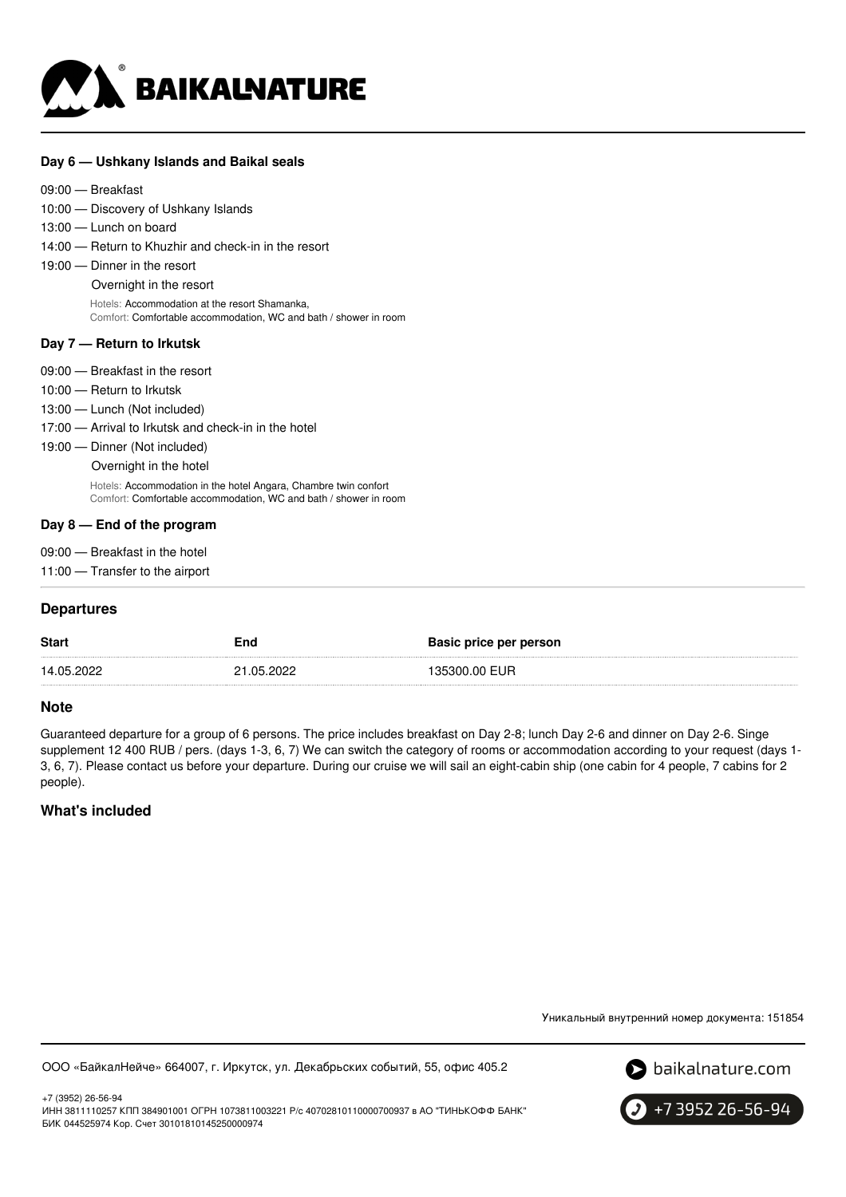

#### **Day 6 — Ushkany Islands and Baikal seals**

10:00 — Discovery of Ushkany Islands 13:00 — Lunch on board

- 14:00 Return to Khuzhir and check-in in the resort
- 19:00 Dinner in the resort

Overnight in the resort

Hotels: Accommodation at the resort Shamanka, Comfort: Comfortable accommodation, WC and bath / shower in room

#### **Day 7 — Return to Irkutsk**

| 09:00 — Breakfast in the resort                                                                                                     |
|-------------------------------------------------------------------------------------------------------------------------------------|
|                                                                                                                                     |
| 10:00 — Return to Irkutsk                                                                                                           |
| 13:00 — Lunch (Not included)                                                                                                        |
| 17:00 – Arrival to Irkutsk and check-in in the hotel                                                                                |
| 19:00 - Dinner (Not included)                                                                                                       |
| Overnight in the hotel                                                                                                              |
| Hotels: Accommodation in the hotel Angara, Chambre twin confort<br>Comfort: Comfortable accommodation, WC and bath / shower in room |
| Day $8-$ End of the program                                                                                                         |

- 09:00 Breakfast in the hotel
- 11:00 Transfer to the airport

### **Departures**

| <b>Start</b> | End        | Basic price per person |
|--------------|------------|------------------------|
| 14.05.2022   | 21.05.2022 | 135300.00 EUR          |

### **Note**

Guaranteed departure for a group of 6 persons. The price includes breakfast on Day 2-8; lunch Day 2-6 and dinner on Day 2-6. Singe supplement 12 400 RUB / pers. (days 1-3, 6, 7) We can switch the category of rooms or accommodation according to your request (days 1- 3, 6, 7). Please contact us before your departure. During our cruise we will sail an eight-cabin ship (one cabin for 4 people, 7 cabins for 2 people).

# **What's included**

Уникальный внутренний номер документа: 151854

ООО «БайкалНейче» 664007, г. Иркутск, ул. Декабрьских событий, 55, офис 405.2



+7 (3952) 26-56-94 ИНН 3811110257 КПП 384901001 ОГРН 1073811003221 Р/с 40702810110000700937 в АО "ТИНЬКОФФ БАНК" БИК 044525974 Кор. Счет 30101810145250000974

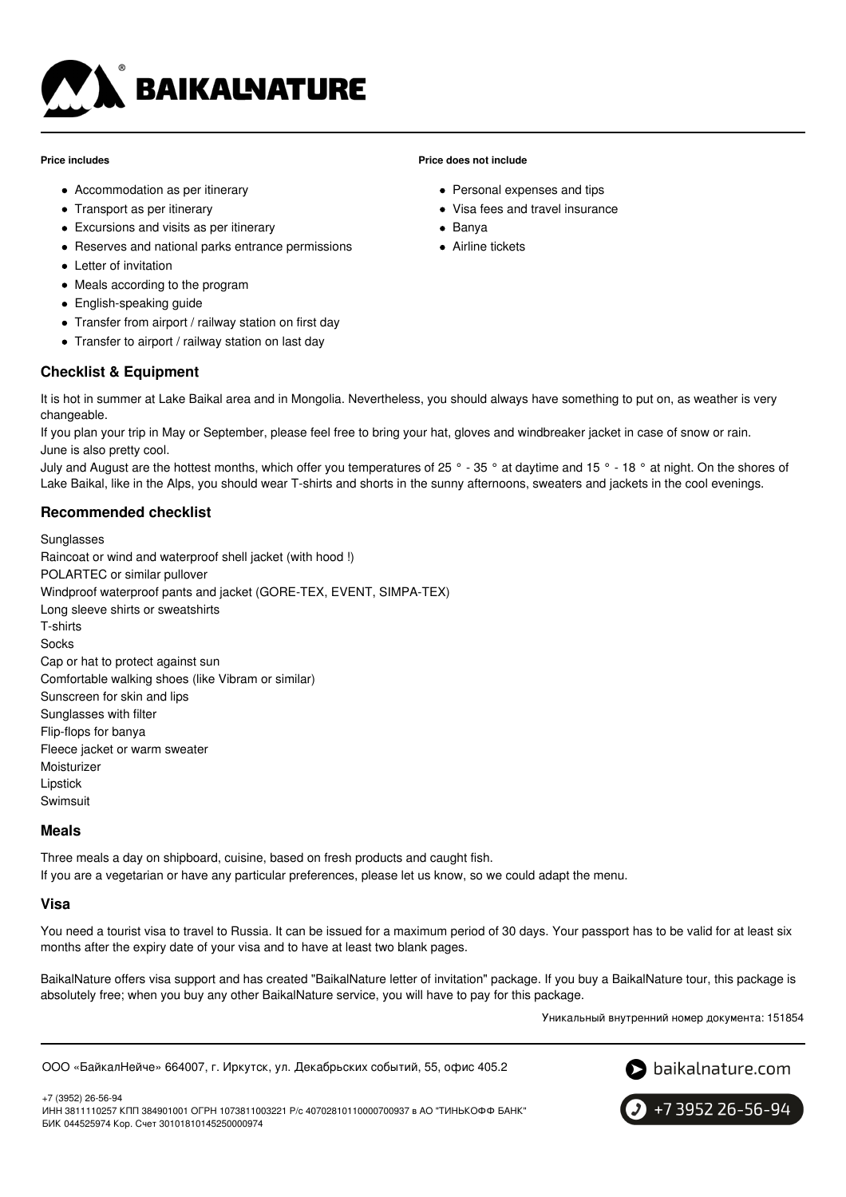

#### **Price includes**

- Accommodation as per itinerary
- Transport as per itinerary
- Excursions and visits as per itinerary
- Reserves and national parks entrance permissions
- Letter of invitation
- Meals according to the program
- English-speaking guide
- Transfer from airport / railway station on first day
- Transfer to airport / railway station on last day

### **Checklist & Equipment**

It is hot in summer at Lake Baikal area and in Mongolia. Nevertheless, you should always have something to put on, as weather is very changeable.

**Price does not include**

• Banya Airline tickets

• Personal expenses and tips Visa fees and travel insurance

If you plan your trip in May or September, please feel free to bring your hat, gloves and windbreaker jacket in case of snow or rain. June is also pretty cool.

July and August are the hottest months, which offer you temperatures of 25 ° - 35 ° at daytime and 15 ° - 18 ° at night. On the shores of Lake Baikal, like in the Alps, you should wear T-shirts and shorts in the sunny afternoons, sweaters and jackets in the cool evenings.

### **Recommended checklist**

**Sunglasses** Raincoat or wind and waterproof shell jacket (with hood !) POLARTEC or similar pullover Windproof waterproof pants and jacket (GORE-TEX, EVENT, SIMPA-TEX) Long sleeve shirts or sweatshirts T-shirts **Socks** Cap or hat to protect against sun Comfortable walking shoes (like Vibram or similar) Sunscreen for skin and lips Sunglasses with filter Flip-flops for banya Fleece jacket or warm sweater Moisturizer Lipstick Swimsuit

### **Meals**

Three meals a day on shipboard, cuisine, based on fresh products and caught fish. If you are a vegetarian or have any particular preferences, please let us know, so we could adapt the menu.

#### **Visa**

You need a tourist visa to travel to Russia. It can be issued for a maximum period of 30 days. Your passport has to be valid for at least six months after the expiry date of your visa and to have at least two blank pages.

BaikalNature offers visa support and has created "BaikalNature letter of invitation" package. If you buy a BaikalNature tour, this package is absolutely free; when you buy any other BaikalNature service, you will have to pay for this package.

Уникальный внутренний номер документа: 151854

ООО «БайкалНейче» 664007, г. Иркутск, ул. Декабрьских событий, 55, офис 405.2



+7 (3952) 26-56-94 ИНН 3811110257 КПП 384901001 ОГРН 1073811003221 Р/с 40702810110000700937 в АО "ТИНЬКОФФ БАНК" БИК 044525974 Кор. Счет 30101810145250000974

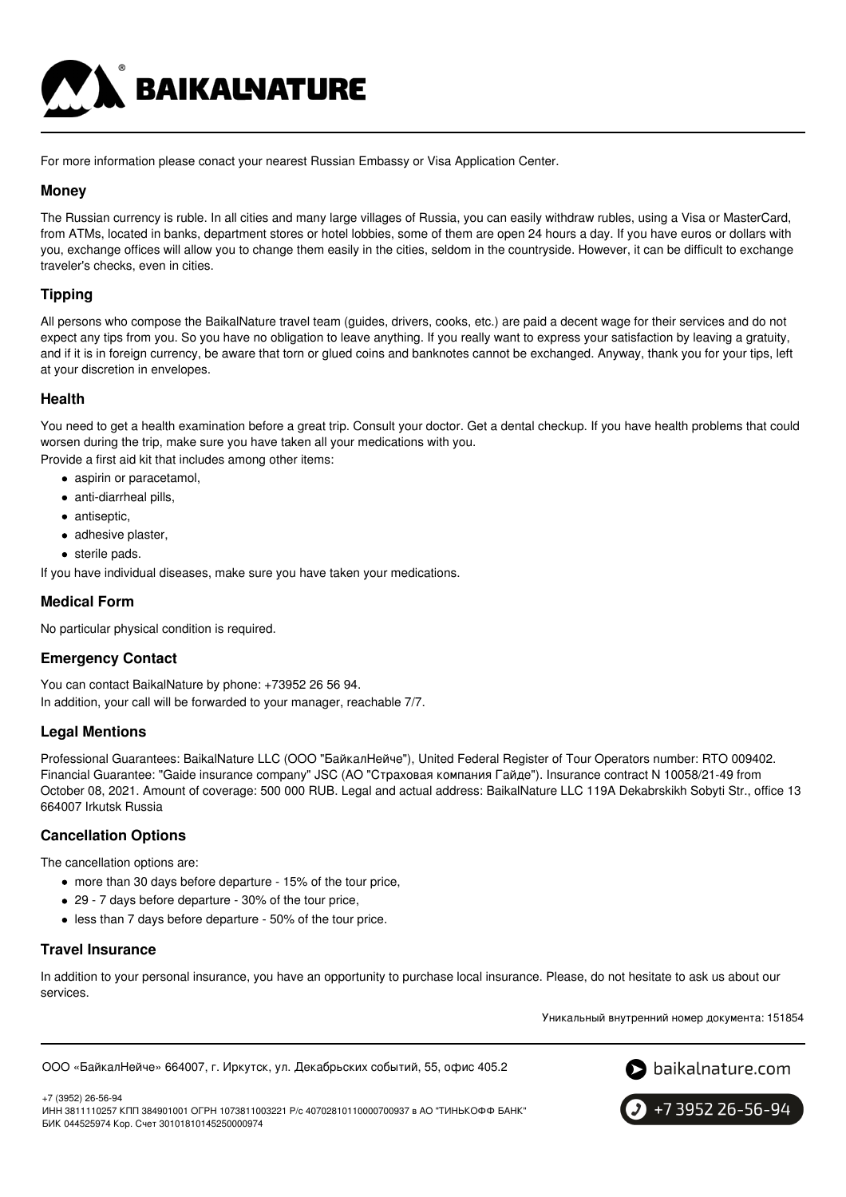

For more information please conact your nearest Russian Embassy or Visa Application Center.

# **Money**

The Russian currency is ruble. In all cities and many large villages of Russia, you can easily withdraw rubles, using a Visa or MasterCard, from ATMs, located in banks, department stores or hotel lobbies, some of them are open 24 hours a day. If you have euros or dollars with you, exchange offices will allow you to change them easily in the cities, seldom in the countryside. However, it can be difficult to exchange traveler's checks, even in cities.

# **Tipping**

All persons who compose the BaikalNature travel team (guides, drivers, cooks, etc.) are paid a decent wage for their services and do not expect any tips from you. So you have no obligation to leave anything. If you really want to express your satisfaction by leaving a gratuity, and if it is in foreign currency, be aware that torn or glued coins and banknotes cannot be exchanged. Anyway, thank you for your tips, left at your discretion in envelopes.

### **Health**

You need to get a health examination before a great trip. Consult your doctor. Get a dental checkup. If you have health problems that could worsen during the trip, make sure you have taken all your medications with you. Provide a first aid kit that includes among other items:

- aspirin or paracetamol,
- anti-diarrheal pills,
- antiseptic,
- adhesive plaster,
- sterile pads.

If you have individual diseases, make sure you have taken your medications.

# **Medical Form**

No particular physical condition is required.

# **Emergency Contact**

You can contact BaikalNature by phone: +73952 26 56 94. In addition, your call will be forwarded to your manager, reachable 7/7.

# **Legal Mentions**

Professional Guarantees: BaikalNature LLC (ООО "БайкалНейче"), United Federal Register of Tour Operators number: RTO 009402. Financial Guarantee: "Gaide insurance company" JSC (АО "Страховая компания Гайде"). Insurance contract N 10058/21-49 from October 08, 2021. Amount of coverage: 500 000 RUB. Legal and actual address: BaikalNature LLC 119А Dekabrskikh Sobyti Str., office 13 664007 Irkutsk Russia

# **Cancellation Options**

The cancellation options are:

- more than 30 days before departure 15% of the tour price,
- 29 7 days before departure 30% of the tour price,
- less than 7 days before departure 50% of the tour price.

### **Travel Insurance**

In addition to your personal insurance, you have an opportunity to purchase local insurance. Please, do not hesitate to ask us about our services.

Уникальный внутренний номер документа: 151854

```
ООО «БайкалНейче» 664007, г. Иркутск, ул. Декабрьских событий, 55, офис 405.2
```